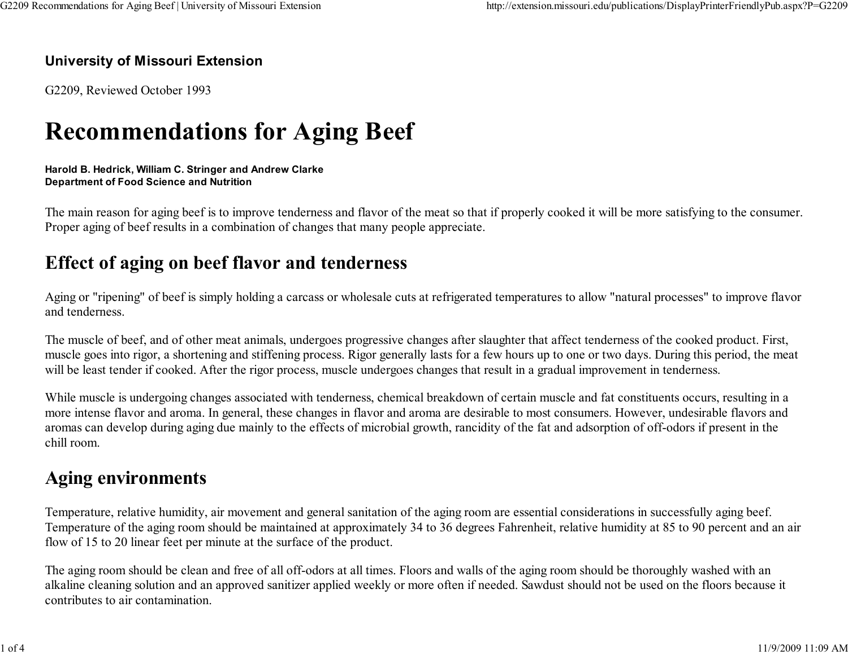#### University of Missouri Extension

G2209, Reviewed October 1993

# Recommendations for Aging Beef

#### Harold B. Hedrick, William C. Stringer and Andrew ClarkeDepartment of Food Science and Nutrition

The main reason for aging beef is to improve tenderness and flavor of the meat so that if properly cooked it will be more satisfying to the consumer.Proper aging of beef results in a combination of changes that many people appreciate.

## Effect of aging on beef flavor and tenderness

Aging or "ripening" of beef is simply holding a carcass or wholesale cuts at refrigerated temperatures to allow "natural processes" to improve flavorand tenderness.

The muscle of beef, and of other meat animals, undergoes progressive changes after slaughter that affect tenderness of the cooked product. First, muscle goes into rigor, a shortening and stiffening process. Rigor generally lasts for a few hours up to one or two days. During this period, the meatwill be least tender if cooked. After the rigor process, muscle undergoes changes that result in a gradual improvement in tenderness.

While muscle is undergoing changes associated with tenderness, chemical breakdown of certain muscle and fat constituents occurs, resulting in a more intense flavor and aroma. In general, these changes in flavor and aroma are desirable to most consumers. However, undesirable flavors andaromas can develop during aging due mainly to the effects of microbial growth, rancidity of the fat and adsorption of off-odors if present in thechill room.

## Aging environments

Temperature, relative humidity, air movement and general sanitation of the aging room are essential considerations in successfully aging beef. Temperature of the aging room should be maintained at approximately 34 to 36 degrees Fahrenheit, relative humidity at 85 to 90 percent and an airflow of 15 to 20 linear feet per minute at the surface of the product.

The aging room should be clean and free of all off-odors at all times. Floors and walls of the aging room should be thoroughly washed with an alkaline cleaning solution and an approved sanitizer applied weekly or more often if needed. Sawdust should not be used on the floors because itcontributes to air contamination.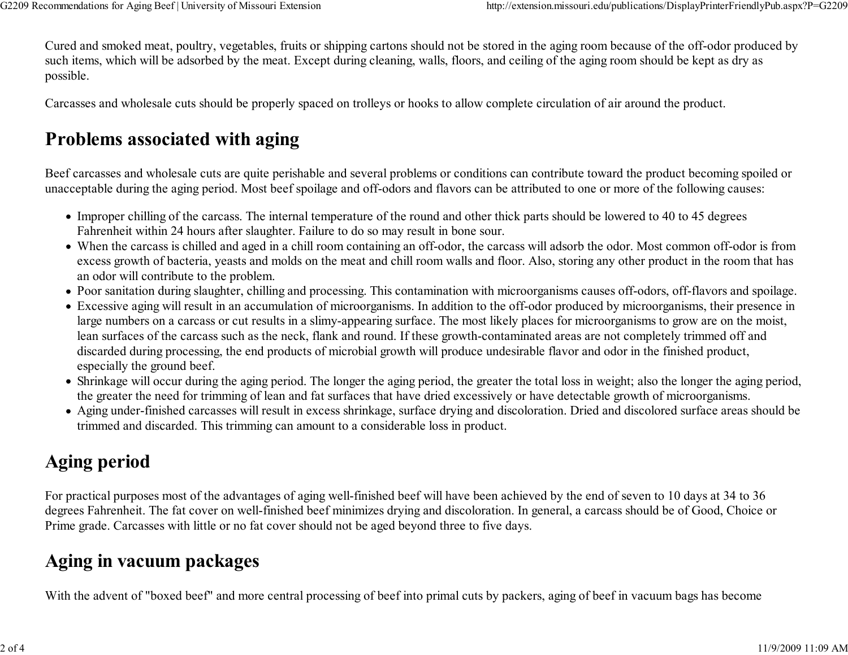Cured and smoked meat, poultry, vegetables, fruits or shipping cartons should not be stored in the aging room because of the off-odor produced bysuch items, which will be adsorbed by the meat. Except during cleaning, walls, floors, and ceiling of the aging room should be kept as dry aspossible.

Carcasses and wholesale cuts should be properly spaced on trolleys or hooks to allow complete circulation of air around the product.

# Problems associated with aging

Beef carcasses and wholesale cuts are quite perishable and several problems or conditions can contribute toward the product becoming spoiled orunacceptable during the aging period. Most beef spoilage and off-odors and flavors can be attributed to one or more of the following causes:

- Improper chilling of the carcass. The internal temperature of the round and other thick parts should be lowered to 40 to 45 degrees Fahrenheit within 24 hours after slaughter. Failure to do so may result in bone sour.
- When the carcass is chilled and aged in a chill room containing an off-odor, the carcass will adsorb the odor. Most common off-odor is from excess growth of bacteria, yeasts and molds on the meat and chill room walls and floor. Also, storing any other product in the room that hasan odor will contribute to the problem.
- Poor sanitation during slaughter, chilling and processing. This contamination with microorganisms causes off-odors, off-flavors and spoilage.
- Excessive aging will result in an accumulation of microorganisms. In addition to the off-odor produced by microorganisms, their presence inlarge numbers on a carcass or cut results in a slimy-appearing surface. The most likely places for microorganisms to grow are on the moist,lean surfaces of the carcass such as the neck, flank and round. If these growth-contaminated areas are not completely trimmed off anddiscarded during processing, the end products of microbial growth will produce undesirable flavor and odor in the finished product,especially the ground beef.
- Shrinkage will occur during the aging period. The longer the aging period, the greater the total loss in weight; also the longer the aging period,the greater the need for trimming of lean and fat surfaces that have dried excessively or have detectable growth of microorganisms.
- Aging under-finished carcasses will result in excess shrinkage, surface drying and discoloration. Dried and discolored surface areas should betrimmed and discarded. This trimming can amount to a considerable loss in product.

# Aging period

For practical purposes most of the advantages of aging well-finished beef will have been achieved by the end of seven to 10 days at 34 to 36 degrees Fahrenheit. The fat cover on well-finished beef minimizes drying and discoloration. In general, a carcass should be of Good, Choice orPrime grade. Carcasses with little or no fat cover should not be aged beyond three to five days.

## Aging in vacuum packages

With the advent of "boxed beef" and more central processing of beef into primal cuts by packers, aging of beef in vacuum bags has become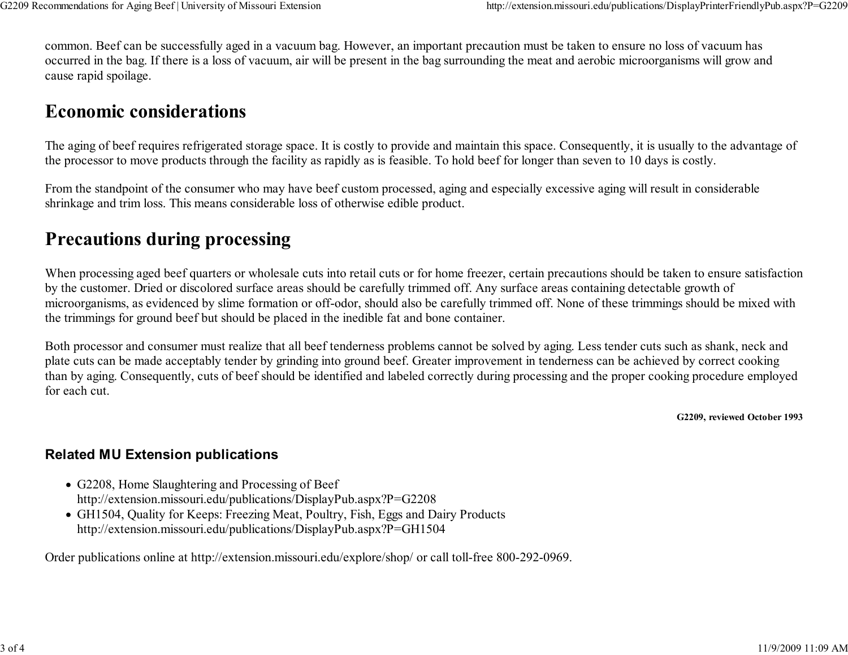common. Beef can be successfully aged in a vacuum bag. However, an important precaution must be taken to ensure no loss of vacuum has occurred in the bag. If there is a loss of vacuum, air will be present in the bag surrounding the meat and aerobic microorganisms will grow andcause rapid spoilage.

### Economic considerations

The aging of beef requires refrigerated storage space. It is costly to provide and maintain this space. Consequently, it is usually to the advantage ofthe processor to move products through the facility as rapidly as is feasible. To hold beef for longer than seven to 10 days is costly.

From the standpoint of the consumer who may have beef custom processed, aging and especially excessive aging will result in considerableshrinkage and trim loss. This means considerable loss of otherwise edible product.

## Precautions during processing

When processing aged beef quarters or wholesale cuts into retail cuts or for home freezer, certain precautions should be taken to ensure satisfactionby the customer. Dried or discolored surface areas should be carefully trimmed off. Any surface areas containing detectable growth of microorganisms, as evidenced by slime formation or off-odor, should also be carefully trimmed off. None of these trimmings should be mixed withthe trimmings for ground beef but should be placed in the inedible fat and bone container.

Both processor and consumer must realize that all beef tenderness problems cannot be solved by aging. Less tender cuts such as shank, neck andplate cuts can be made acceptably tender by grinding into ground beef. Greater improvement in tenderness can be achieved by correct cooking than by aging. Consequently, cuts of beef should be identified and labeled correctly during processing and the proper cooking procedure employedfor each cut.

G2209, reviewed October 1993

#### Related MU Extension publications

- G2208, Home Slaughtering and Processing of Beefhttp://extension.missouri.edu/publications/DisplayPub.aspx?P=G2208
- GH1504, Quality for Keeps: Freezing Meat, Poultry, Fish, Eggs and Dairy Productshttp://extension.missouri.edu/publications/DisplayPub.aspx?P=GH1504

Order publications online at http://extension.missouri.edu/explore/shop/ or call toll-free 800-292-0969.